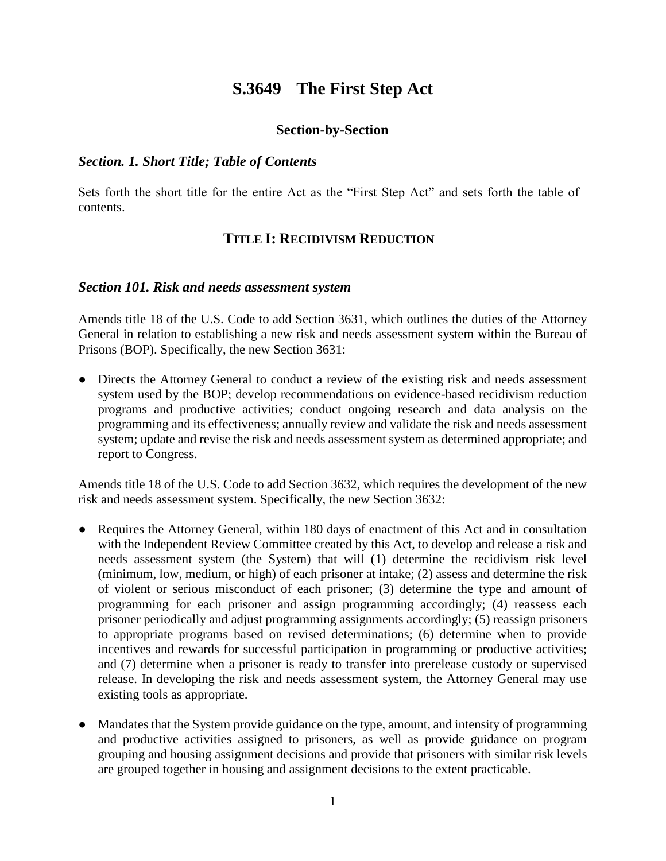# **S.3649** – **The First Step Act**

#### **Section-by-Section**

#### *Section. 1. Short Title; Table of Contents*

Sets forth the short title for the entire Act as the "First Step Act" and sets forth the table of contents.

### **TITLE I: RECIDIVISM REDUCTION**

#### *Section 101. Risk and needs assessment system*

Amends title 18 of the U.S. Code to add Section 3631, which outlines the duties of the Attorney General in relation to establishing a new risk and needs assessment system within the Bureau of Prisons (BOP). Specifically, the new Section 3631:

• Directs the Attorney General to conduct a review of the existing risk and needs assessment system used by the BOP; develop recommendations on evidence-based recidivism reduction programs and productive activities; conduct ongoing research and data analysis on the programming and its effectiveness; annually review and validate the risk and needs assessment system; update and revise the risk and needs assessment system as determined appropriate; and report to Congress.

Amends title 18 of the U.S. Code to add Section 3632, which requires the development of the new risk and needs assessment system. Specifically, the new Section 3632:

- Requires the Attorney General, within 180 days of enactment of this Act and in consultation with the Independent Review Committee created by this Act, to develop and release a risk and needs assessment system (the System) that will (1) determine the recidivism risk level (minimum, low, medium, or high) of each prisoner at intake; (2) assess and determine the risk of violent or serious misconduct of each prisoner; (3) determine the type and amount of programming for each prisoner and assign programming accordingly; (4) reassess each prisoner periodically and adjust programming assignments accordingly; (5) reassign prisoners to appropriate programs based on revised determinations; (6) determine when to provide incentives and rewards for successful participation in programming or productive activities; and (7) determine when a prisoner is ready to transfer into prerelease custody or supervised release. In developing the risk and needs assessment system, the Attorney General may use existing tools as appropriate.
- Mandates that the System provide guidance on the type, amount, and intensity of programming and productive activities assigned to prisoners, as well as provide guidance on program grouping and housing assignment decisions and provide that prisoners with similar risk levels are grouped together in housing and assignment decisions to the extent practicable.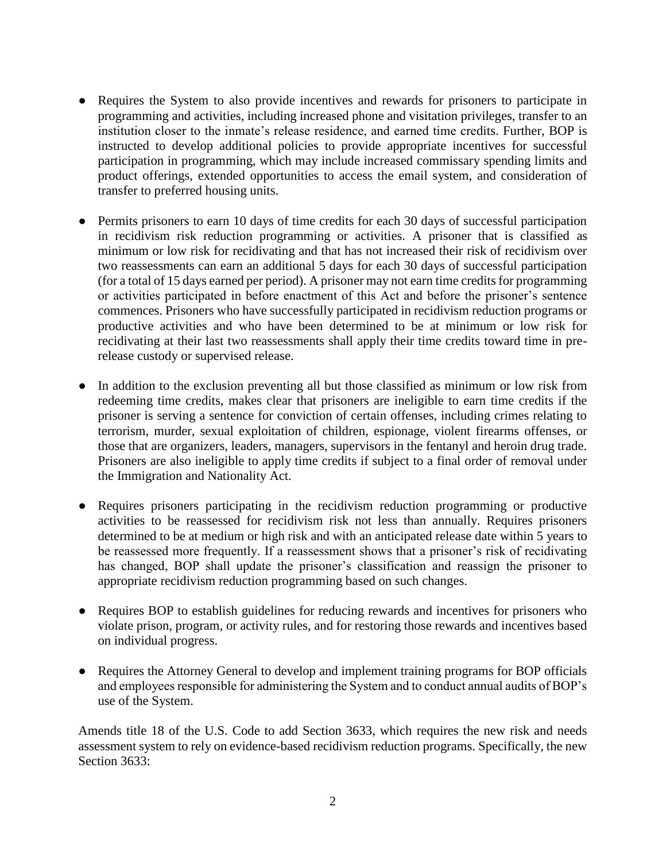- Requires the System to also provide incentives and rewards for prisoners to participate in programming and activities, including increased phone and visitation privileges, transfer to an institution closer to the inmate's release residence, and earned time credits. Further, BOP is instructed to develop additional policies to provide appropriate incentives for successful participation in programming, which may include increased commissary spending limits and product offerings, extended opportunities to access the email system, and consideration of transfer to preferred housing units.
- Permits prisoners to earn 10 days of time credits for each 30 days of successful participation in recidivism risk reduction programming or activities. A prisoner that is classified as minimum or low risk for recidivating and that has not increased their risk of recidivism over two reassessments can earn an additional 5 days for each 30 days of successful participation (for a total of 15 days earned per period). A prisoner may not earn time credits for programming or activities participated in before enactment of this Act and before the prisoner's sentence commences. Prisoners who have successfully participated in recidivism reduction programs or productive activities and who have been determined to be at minimum or low risk for recidivating at their last two reassessments shall apply their time credits toward time in prerelease custody or supervised release.
- In addition to the exclusion preventing all but those classified as minimum or low risk from redeeming time credits, makes clear that prisoners are ineligible to earn time credits if the prisoner is serving a sentence for conviction of certain offenses, including crimes relating to terrorism, murder, sexual exploitation of children, espionage, violent firearms offenses, or those that are organizers, leaders, managers, supervisors in the fentanyl and heroin drug trade. Prisoners are also ineligible to apply time credits if subject to a final order of removal under the Immigration and Nationality Act.
- Requires prisoners participating in the recidivism reduction programming or productive activities to be reassessed for recidivism risk not less than annually. Requires prisoners determined to be at medium or high risk and with an anticipated release date within 5 years to be reassessed more frequently. If a reassessment shows that a prisoner's risk of recidivating has changed, BOP shall update the prisoner's classification and reassign the prisoner to appropriate recidivism reduction programming based on such changes.
- Requires BOP to establish guidelines for reducing rewards and incentives for prisoners who violate prison, program, or activity rules, and for restoring those rewards and incentives based on individual progress.
- Requires the Attorney General to develop and implement training programs for BOP officials and employees responsible for administering the System and to conduct annual audits of BOP's use of the System.

Amends title 18 of the U.S. Code to add Section 3633, which requires the new risk and needs assessment system to rely on evidence-based recidivism reduction programs. Specifically, the new Section 3633: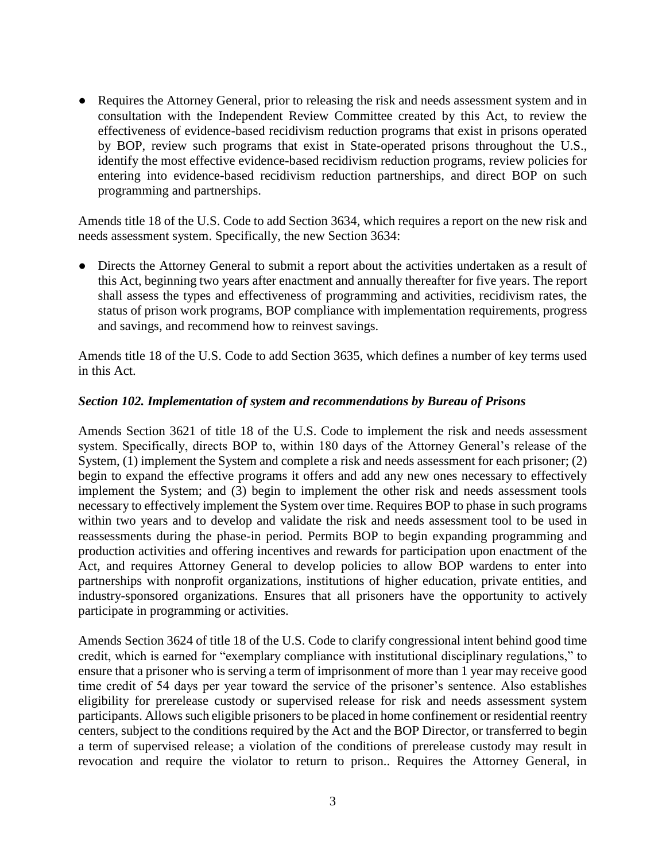Requires the Attorney General, prior to releasing the risk and needs assessment system and in consultation with the Independent Review Committee created by this Act, to review the effectiveness of evidence-based recidivism reduction programs that exist in prisons operated by BOP, review such programs that exist in State-operated prisons throughout the U.S., identify the most effective evidence-based recidivism reduction programs, review policies for entering into evidence-based recidivism reduction partnerships, and direct BOP on such programming and partnerships.

Amends title 18 of the U.S. Code to add Section 3634, which requires a report on the new risk and needs assessment system. Specifically, the new Section 3634:

● Directs the Attorney General to submit a report about the activities undertaken as a result of this Act, beginning two years after enactment and annually thereafter for five years. The report shall assess the types and effectiveness of programming and activities, recidivism rates, the status of prison work programs, BOP compliance with implementation requirements, progress and savings, and recommend how to reinvest savings.

Amends title 18 of the U.S. Code to add Section 3635, which defines a number of key terms used in this Act.

#### *Section 102. Implementation of system and recommendations by Bureau of Prisons*

Amends Section 3621 of title 18 of the U.S. Code to implement the risk and needs assessment system. Specifically, directs BOP to, within 180 days of the Attorney General's release of the System, (1) implement the System and complete a risk and needs assessment for each prisoner; (2) begin to expand the effective programs it offers and add any new ones necessary to effectively implement the System; and (3) begin to implement the other risk and needs assessment tools necessary to effectively implement the System over time. Requires BOP to phase in such programs within two years and to develop and validate the risk and needs assessment tool to be used in reassessments during the phase-in period. Permits BOP to begin expanding programming and production activities and offering incentives and rewards for participation upon enactment of the Act, and requires Attorney General to develop policies to allow BOP wardens to enter into partnerships with nonprofit organizations, institutions of higher education, private entities, and industry-sponsored organizations. Ensures that all prisoners have the opportunity to actively participate in programming or activities.

Amends Section 3624 of title 18 of the U.S. Code to clarify congressional intent behind good time credit, which is earned for "exemplary compliance with institutional disciplinary regulations," to ensure that a prisoner who is serving a term of imprisonment of more than 1 year may receive good time credit of 54 days per year toward the service of the prisoner's sentence. Also establishes eligibility for prerelease custody or supervised release for risk and needs assessment system participants. Allows such eligible prisoners to be placed in home confinement or residential reentry centers, subject to the conditions required by the Act and the BOP Director, or transferred to begin a term of supervised release; a violation of the conditions of prerelease custody may result in revocation and require the violator to return to prison.. Requires the Attorney General, in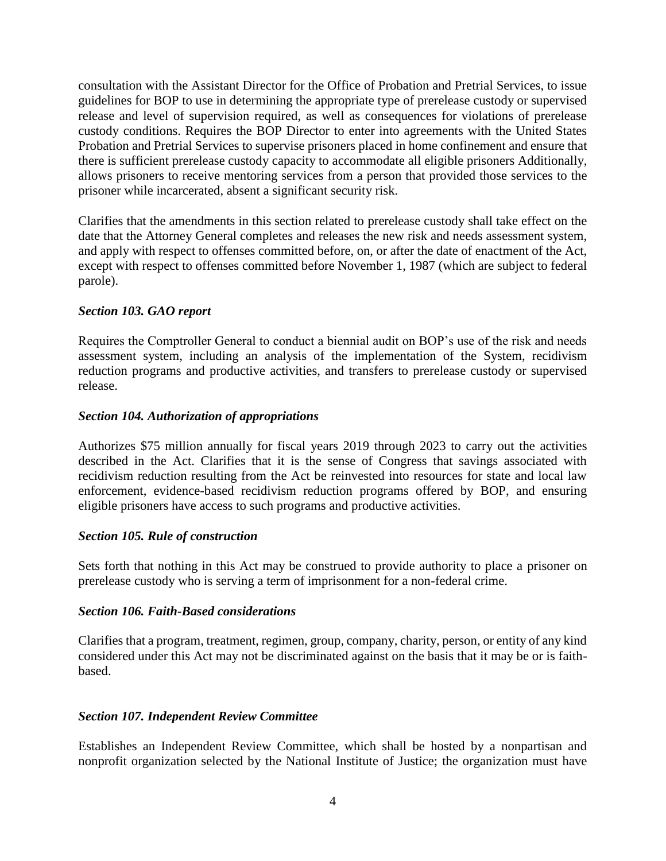consultation with the Assistant Director for the Office of Probation and Pretrial Services, to issue guidelines for BOP to use in determining the appropriate type of prerelease custody or supervised release and level of supervision required, as well as consequences for violations of prerelease custody conditions. Requires the BOP Director to enter into agreements with the United States Probation and Pretrial Services to supervise prisoners placed in home confinement and ensure that there is sufficient prerelease custody capacity to accommodate all eligible prisoners Additionally, allows prisoners to receive mentoring services from a person that provided those services to the prisoner while incarcerated, absent a significant security risk.

Clarifies that the amendments in this section related to prerelease custody shall take effect on the date that the Attorney General completes and releases the new risk and needs assessment system, and apply with respect to offenses committed before, on, or after the date of enactment of the Act, except with respect to offenses committed before November 1, 1987 (which are subject to federal parole).

### *Section 103. GAO report*

Requires the Comptroller General to conduct a biennial audit on BOP's use of the risk and needs assessment system, including an analysis of the implementation of the System, recidivism reduction programs and productive activities, and transfers to prerelease custody or supervised release.

### *Section 104. Authorization of appropriations*

Authorizes \$75 million annually for fiscal years 2019 through 2023 to carry out the activities described in the Act. Clarifies that it is the sense of Congress that savings associated with recidivism reduction resulting from the Act be reinvested into resources for state and local law enforcement, evidence-based recidivism reduction programs offered by BOP, and ensuring eligible prisoners have access to such programs and productive activities.

### *Section 105. Rule of construction*

Sets forth that nothing in this Act may be construed to provide authority to place a prisoner on prerelease custody who is serving a term of imprisonment for a non-federal crime.

### *Section 106. Faith-Based considerations*

Clarifies that a program, treatment, regimen, group, company, charity, person, or entity of any kind considered under this Act may not be discriminated against on the basis that it may be or is faithbased.

### *Section 107. Independent Review Committee*

Establishes an Independent Review Committee, which shall be hosted by a nonpartisan and nonprofit organization selected by the National Institute of Justice; the organization must have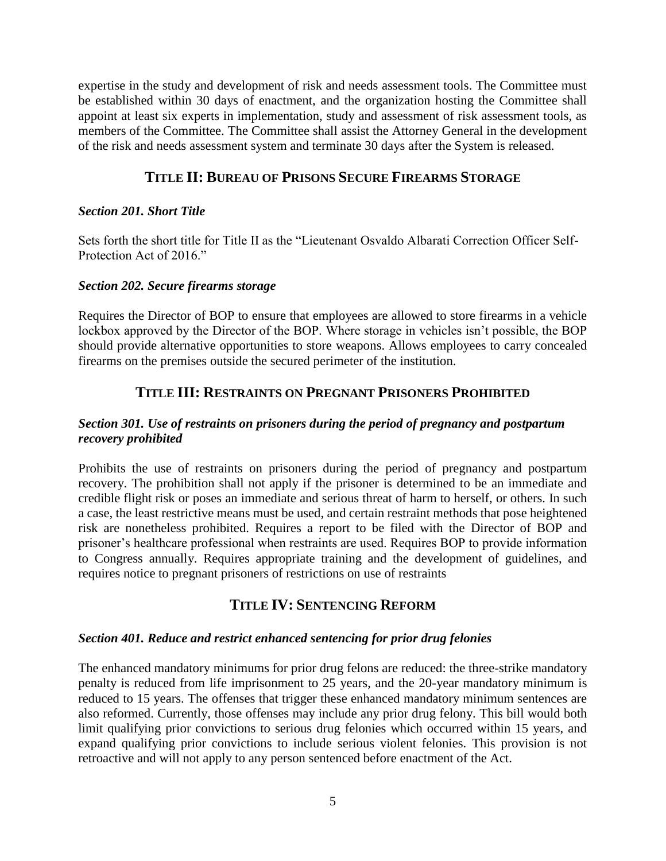expertise in the study and development of risk and needs assessment tools. The Committee must be established within 30 days of enactment, and the organization hosting the Committee shall appoint at least six experts in implementation, study and assessment of risk assessment tools, as members of the Committee. The Committee shall assist the Attorney General in the development of the risk and needs assessment system and terminate 30 days after the System is released.

## **TITLE II: BUREAU OF PRISONS SECURE FIREARMS STORAGE**

### *Section 201. Short Title*

Sets forth the short title for Title II as the "Lieutenant Osvaldo Albarati Correction Officer Self-Protection Act of 2016."

#### *Section 202. Secure firearms storage*

Requires the Director of BOP to ensure that employees are allowed to store firearms in a vehicle lockbox approved by the Director of the BOP. Where storage in vehicles isn't possible, the BOP should provide alternative opportunities to store weapons. Allows employees to carry concealed firearms on the premises outside the secured perimeter of the institution.

### **TITLE III: RESTRAINTS ON PREGNANT PRISONERS PROHIBITED**

### *Section 301. Use of restraints on prisoners during the period of pregnancy and postpartum recovery prohibited*

Prohibits the use of restraints on prisoners during the period of pregnancy and postpartum recovery. The prohibition shall not apply if the prisoner is determined to be an immediate and credible flight risk or poses an immediate and serious threat of harm to herself, or others. In such a case, the least restrictive means must be used, and certain restraint methods that pose heightened risk are nonetheless prohibited. Requires a report to be filed with the Director of BOP and prisoner's healthcare professional when restraints are used. Requires BOP to provide information to Congress annually. Requires appropriate training and the development of guidelines, and requires notice to pregnant prisoners of restrictions on use of restraints

## **TITLE IV: SENTENCING REFORM**

#### *Section 401. Reduce and restrict enhanced sentencing for prior drug felonies*

The enhanced mandatory minimums for prior drug felons are reduced: the three-strike mandatory penalty is reduced from life imprisonment to 25 years, and the 20-year mandatory minimum is reduced to 15 years. The offenses that trigger these enhanced mandatory minimum sentences are also reformed. Currently, those offenses may include any prior drug felony. This bill would both limit qualifying prior convictions to serious drug felonies which occurred within 15 years, and expand qualifying prior convictions to include serious violent felonies. This provision is not retroactive and will not apply to any person sentenced before enactment of the Act.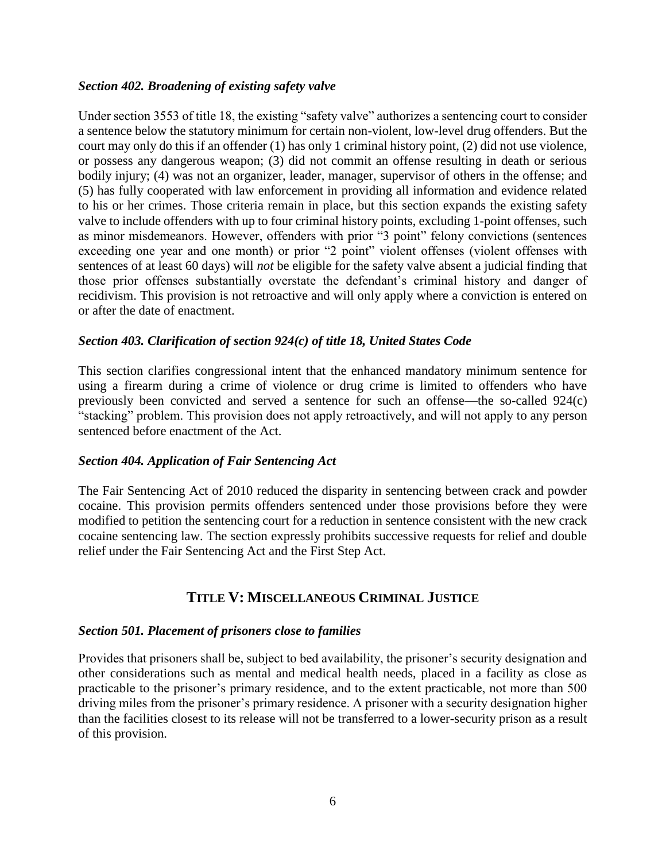### *Section 402. Broadening of existing safety valve*

Under section 3553 of title 18, the existing "safety valve" authorizes a sentencing court to consider a sentence below the statutory minimum for certain non-violent, low-level drug offenders. But the court may only do this if an offender (1) has only 1 criminal history point, (2) did not use violence, or possess any dangerous weapon; (3) did not commit an offense resulting in death or serious bodily injury; (4) was not an organizer, leader, manager, supervisor of others in the offense; and (5) has fully cooperated with law enforcement in providing all information and evidence related to his or her crimes. Those criteria remain in place, but this section expands the existing safety valve to include offenders with up to four criminal history points, excluding 1-point offenses, such as minor misdemeanors. However, offenders with prior "3 point" felony convictions (sentences exceeding one year and one month) or prior "2 point" violent offenses (violent offenses with sentences of at least 60 days) will *not* be eligible for the safety valve absent a judicial finding that those prior offenses substantially overstate the defendant's criminal history and danger of recidivism. This provision is not retroactive and will only apply where a conviction is entered on or after the date of enactment.

### *Section 403. Clarification of section 924(c) of title 18, United States Code*

This section clarifies congressional intent that the enhanced mandatory minimum sentence for using a firearm during a crime of violence or drug crime is limited to offenders who have previously been convicted and served a sentence for such an offense—the so-called 924(c) "stacking" problem. This provision does not apply retroactively, and will not apply to any person sentenced before enactment of the Act.

#### *Section 404. Application of Fair Sentencing Act*

The Fair Sentencing Act of 2010 reduced the disparity in sentencing between crack and powder cocaine. This provision permits offenders sentenced under those provisions before they were modified to petition the sentencing court for a reduction in sentence consistent with the new crack cocaine sentencing law. The section expressly prohibits successive requests for relief and double relief under the Fair Sentencing Act and the First Step Act.

## **TITLE V: MISCELLANEOUS CRIMINAL JUSTICE**

#### *Section 501. Placement of prisoners close to families*

Provides that prisoners shall be, subject to bed availability, the prisoner's security designation and other considerations such as mental and medical health needs, placed in a facility as close as practicable to the prisoner's primary residence, and to the extent practicable, not more than 500 driving miles from the prisoner's primary residence. A prisoner with a security designation higher than the facilities closest to its release will not be transferred to a lower-security prison as a result of this provision.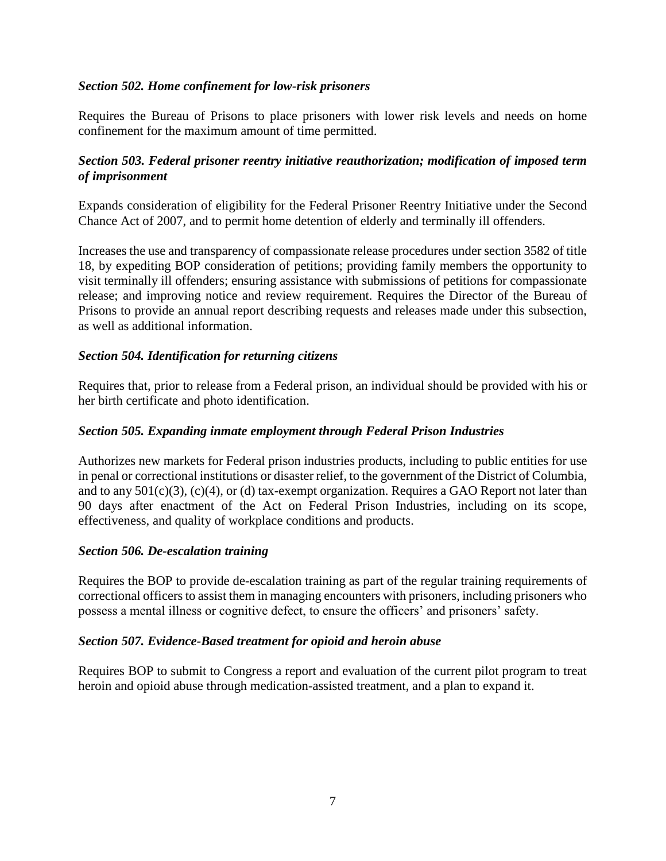### *Section 502. Home confinement for low-risk prisoners*

Requires the Bureau of Prisons to place prisoners with lower risk levels and needs on home confinement for the maximum amount of time permitted.

### *Section 503. Federal prisoner reentry initiative reauthorization; modification of imposed term of imprisonment*

Expands consideration of eligibility for the Federal Prisoner Reentry Initiative under the Second Chance Act of 2007, and to permit home detention of elderly and terminally ill offenders.

Increases the use and transparency of compassionate release procedures under section 3582 of title 18, by expediting BOP consideration of petitions; providing family members the opportunity to visit terminally ill offenders; ensuring assistance with submissions of petitions for compassionate release; and improving notice and review requirement. Requires the Director of the Bureau of Prisons to provide an annual report describing requests and releases made under this subsection, as well as additional information.

#### *Section 504. Identification for returning citizens*

Requires that, prior to release from a Federal prison, an individual should be provided with his or her birth certificate and photo identification.

#### *Section 505. Expanding inmate employment through Federal Prison Industries*

Authorizes new markets for Federal prison industries products, including to public entities for use in penal or correctional institutions or disaster relief, to the government of the District of Columbia, and to any  $501(c)(3)$ ,  $(c)(4)$ , or (d) tax-exempt organization. Requires a GAO Report not later than 90 days after enactment of the Act on Federal Prison Industries, including on its scope, effectiveness, and quality of workplace conditions and products.

#### *Section 506. De-escalation training*

Requires the BOP to provide de-escalation training as part of the regular training requirements of correctional officers to assist them in managing encounters with prisoners, including prisoners who possess a mental illness or cognitive defect, to ensure the officers' and prisoners' safety.

#### *Section 507. Evidence-Based treatment for opioid and heroin abuse*

Requires BOP to submit to Congress a report and evaluation of the current pilot program to treat heroin and opioid abuse through medication-assisted treatment, and a plan to expand it.